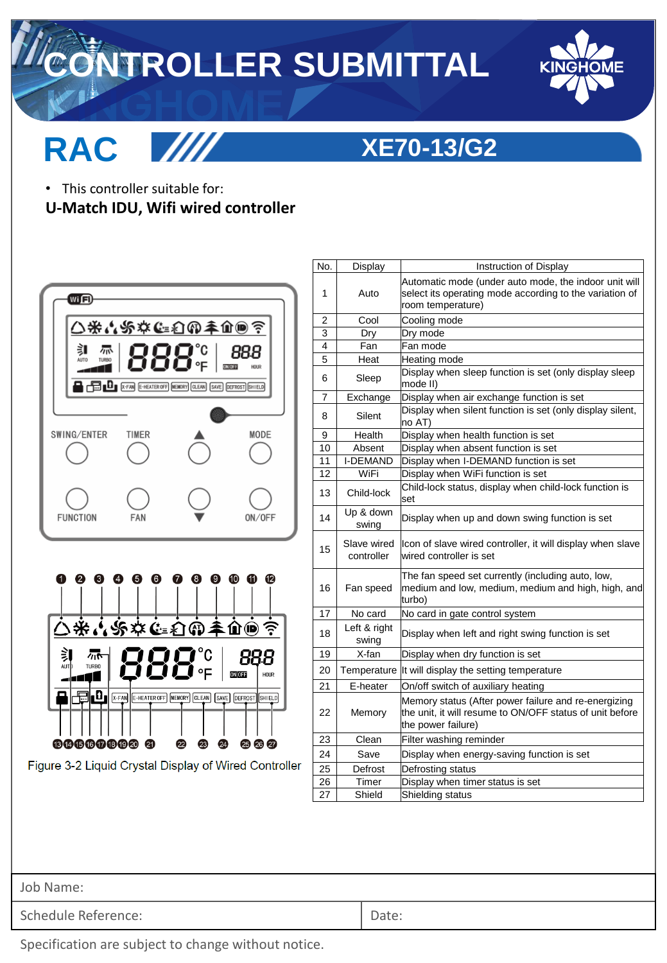## **CONTROLLER SUBMITTAL**



## **RAC**



### **XE70-13/G2**

- This controller suitable for:
- **U-Match IDU, Wifi wired controller**



Figure 3-2 Liquid Crystal Display of Wired Controller

| No. | Display                   | Instruction of Display                                                                                                                 |
|-----|---------------------------|----------------------------------------------------------------------------------------------------------------------------------------|
| 1   | Auto                      | Automatic mode (under auto mode, the indoor unit will<br>select its operating mode according to the variation of<br>room temperature)  |
| 2   | Cool                      | Cooling mode                                                                                                                           |
| 3   | Dry                       | Dry mode                                                                                                                               |
| 4   | Fan                       | Fan mode                                                                                                                               |
| 5   | Heat                      | Heating mode                                                                                                                           |
| 6   | Sleep                     | Display when sleep function is set (only display sleep<br>mode II)                                                                     |
| 7   | Exchange                  | Display when air exchange function is set                                                                                              |
| 8   | Silent                    | Display when silent function is set (only display silent,<br>no AT)                                                                    |
| 9   | Health                    | Display when health function is set                                                                                                    |
| 10  | Absent                    | Display when absent function is set                                                                                                    |
| 11  | <b>I-DEMAND</b>           | Display when I-DEMAND function is set                                                                                                  |
| 12  | WiFi                      | Display when WiFi function is set                                                                                                      |
| 13  | Child-lock                | Child-lock status, display when child-lock function is<br>set                                                                          |
| 14  | Up & down<br>swing        | Display when up and down swing function is set                                                                                         |
| 15  | Slave wired<br>controller | Icon of slave wired controller, it will display when slave<br>wired controller is set                                                  |
| 16  | Fan speed                 | The fan speed set currently (including auto, low,<br>medium and low, medium, medium and high, high, and<br>turbo)                      |
| 17  | No card                   | No card in gate control system                                                                                                         |
| 18  | Left & right<br>swing     | Display when left and right swing function is set                                                                                      |
| 19  | X-fan                     | Display when dry function is set                                                                                                       |
| 20  | Temperature               | It will display the setting temperature                                                                                                |
| 21  | E-heater                  | On/off switch of auxiliary heating                                                                                                     |
| 22  | Memory                    | Memory status (After power failure and re-energizing<br>the unit, it will resume to ON/OFF status of unit before<br>the power failure) |
| 23  | Clean                     | Filter washing reminder                                                                                                                |
| 24  | Save                      | Display when energy-saving function is set                                                                                             |
| 25  | Defrost                   | Defrosting status                                                                                                                      |
| 26  | Timer                     | Display when timer status is set                                                                                                       |
| 27  | Shield                    | Shielding status                                                                                                                       |

Job Name:

Schedule Reference:  $\Box$ 

Specification are subject to change without notice.